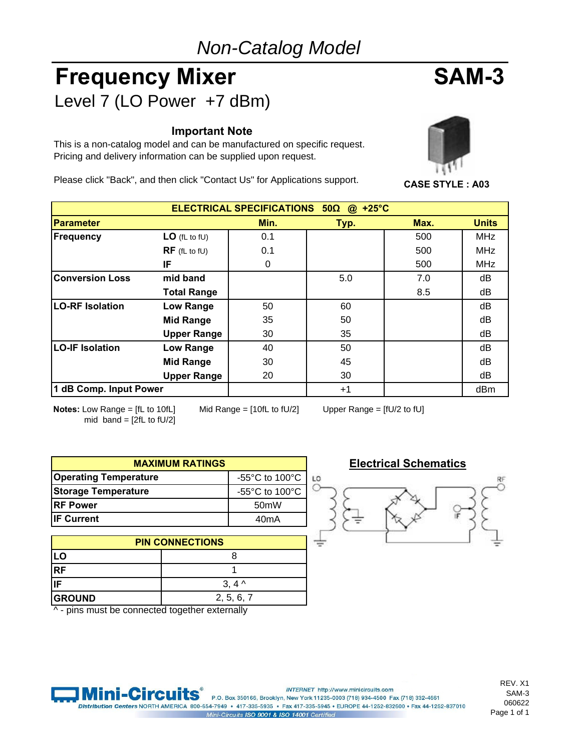# *Non-Catalog Model*

# Frequency Mixer SAM-3 Level 7 (LO Power +7 dBm)

#### **Important Note**

This is a non-catalog model and can be manufactured on specific request. Pricing and delivery information can be supplied upon request.

Please click "Back", and then click "Contact Us" for Applications support. **CASE STYLE : A03**





| ELECTRICAL SPECIFICATIONS 50Ω<br>$+25^{\circ}$ C<br>$\omega$ |                    |      |      |      |              |  |  |  |  |  |
|--------------------------------------------------------------|--------------------|------|------|------|--------------|--|--|--|--|--|
| <b>Parameter</b>                                             |                    | Min. | Typ. | Max. | <b>Units</b> |  |  |  |  |  |
| <b>Frequency</b>                                             | $LO$ (fL to fU)    | 0.1  |      | 500  | <b>MHz</b>   |  |  |  |  |  |
|                                                              | $RF$ (fL to fU)    | 0.1  |      | 500  | <b>MHz</b>   |  |  |  |  |  |
|                                                              | IF                 | 0    |      | 500  | <b>MHz</b>   |  |  |  |  |  |
| <b>Conversion Loss</b>                                       | mid band           |      | 5.0  | 7.0  | dB           |  |  |  |  |  |
|                                                              | <b>Total Range</b> |      |      | 8.5  | dB           |  |  |  |  |  |
| <b>LO-RF Isolation</b>                                       | Low Range          | 50   | 60   |      | dВ           |  |  |  |  |  |
|                                                              | <b>Mid Range</b>   | 35   | 50   |      | dB           |  |  |  |  |  |
|                                                              | <b>Upper Range</b> | 30   | 35   |      | dB           |  |  |  |  |  |
| <b>LO-IF Isolation</b>                                       | Low Range          | 40   | 50   |      | dB           |  |  |  |  |  |
|                                                              | <b>Mid Range</b>   | 30   | 45   |      | dB           |  |  |  |  |  |
|                                                              | <b>Upper Range</b> | 20   | 30   |      | dB           |  |  |  |  |  |
| 1 dB Comp. Input Power                                       |                    |      | $+1$ |      | dBm          |  |  |  |  |  |

**Notes:** Low Range = [fL to 10fL] Mid Range = [10fL to fU/2] Upper Range = [fU/2 to fU] mid band =  $[2fL to fU/2]$ 

| <b>MAXIMUM RATINGS</b>       |                                                      |    |  |  |  |  |  |
|------------------------------|------------------------------------------------------|----|--|--|--|--|--|
| <b>Operating Temperature</b> | -55 $\mathrm{^{\circ}C}$ to 100 $\mathrm{^{\circ}C}$ | t. |  |  |  |  |  |
| <b>Storage Temperature</b>   | -55°C to 100°C                                       |    |  |  |  |  |  |
| <b>IRF Power</b>             | 50 <sub>m</sub> W                                    |    |  |  |  |  |  |
| <b>IF Current</b>            | 40mA                                                 |    |  |  |  |  |  |

| <b>PIN CONNECTIONS</b> |                 |  |  |  |  |  |  |  |
|------------------------|-----------------|--|--|--|--|--|--|--|
|                        |                 |  |  |  |  |  |  |  |
| <b>RF</b>              |                 |  |  |  |  |  |  |  |
| <b>IF</b>              | $3, 4^{\prime}$ |  |  |  |  |  |  |  |
| <b>GROUND</b>          | 2, 5, 6, 7      |  |  |  |  |  |  |  |

^ - pins must be connected together externally

#### **Electrical Schematics**



REV. X1 SAM-3 060622 Page 1 of 1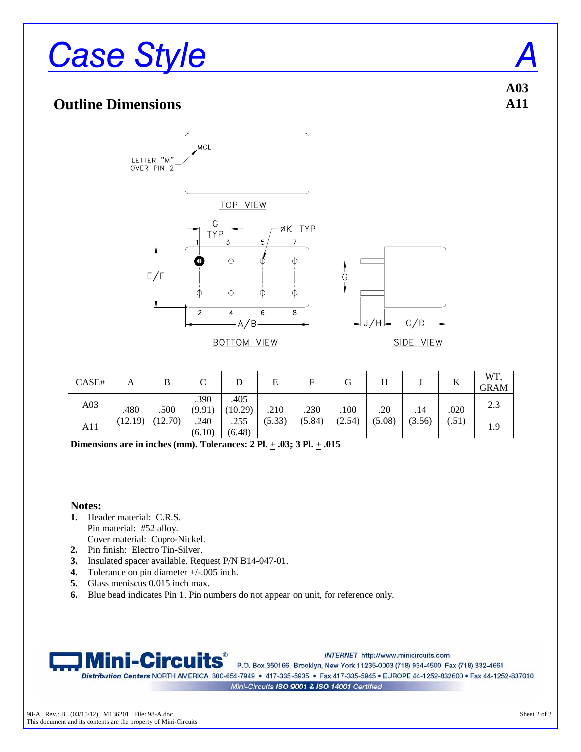# **Case Style**

#### **Outline Dimensions**



**BOTTOM VIEW** 

SIDE VIEW

| CASE# | А       | B       |                |                 | E      | F      |        |        |        | A     | WT.<br><b>GRAM</b> |
|-------|---------|---------|----------------|-----------------|--------|--------|--------|--------|--------|-------|--------------------|
| A03   | .480    | .500    | .390<br>(9.91) | .405<br>(10.29) | .210   | .230   | .100   | .20    | .14    | .020  | 2.3                |
| A11   | (12.19) | (12.70) | .240<br>(6.10) | .255<br>(6.48)  | (5.33) | (5.84) | (2.54) | (5.08) | (3.56) | (.51) | 1.9                |

**Dimensions are in inches (mm). Tolerances: 2 Pl. + .03; 3 Pl. + .015** 

#### **Notes:**

- **1.** Header material: C.R.S. Pin material: #52 alloy. Cover material: Cupro-Nickel.
- **2.** Pin finish: Electro Tin-Silver.
- **3.** Insulated spacer available. Request P/N B14-047-01.
- **4.** Tolerance on pin diameter +/-.005 inch.
- **5.** Glass meniscus 0.015 inch max.
- **6.** Blue bead indicates Pin 1. Pin numbers do not appear on unit, for reference only.



INTERNET http://www.minicircuits.com

P.O. Box 350166, Brooklyn, New York 11235-0003 (718) 934-4500 Fax (718) 332-4661 Distribution Centers NORTH AMERICA 800-654-7949 · 417-335-5935 · Fax 417-335-5945 · EUROPE 44-1252-832600 · Fax 44-1252-837010 Mini-Circuits ISO 9001 & ISO 14001 Certified

**A03 A11**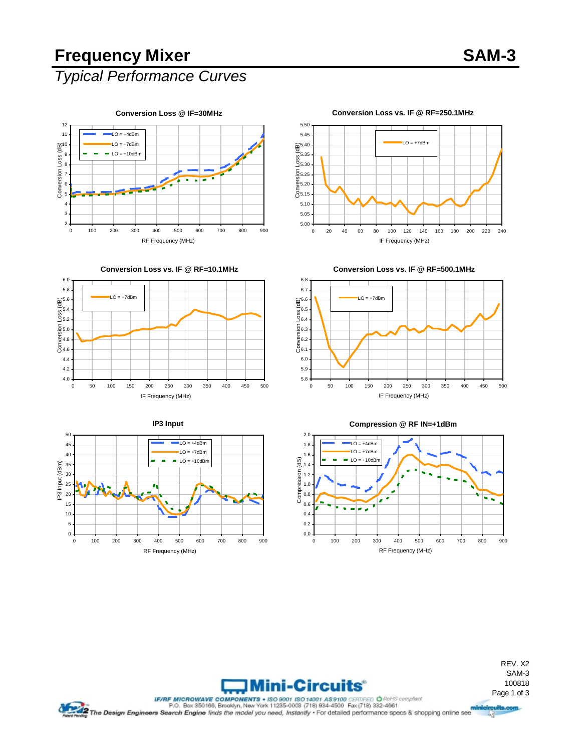# Frequency Mixer SAM-3

### *Typical Performance Curves*



**Conversion Loss vs. IF @ RF=10.1MHz**













#### **Conversion Loss vs. IF @ RF=250.1MHz**

REV. X2 SAM-3 100818



IF/RF MICROWAVE COMPONERTS + ISO 14001 ASSIDE CERTIFIED O Revise complete CHARGED PORTER COMPONERTS - 150 14001 ASSIDE CERTIFIED O Revise complete CHARGED PORTER COMPONERTS.<br>The Design Engineers Search Engine finds the mod 哸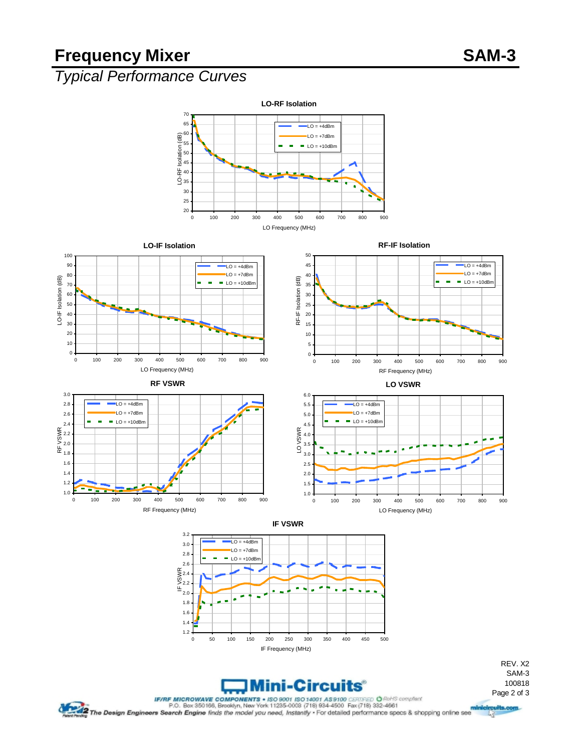## **Frequency Mixer SAM-3**

# *Typical Performance Curves*